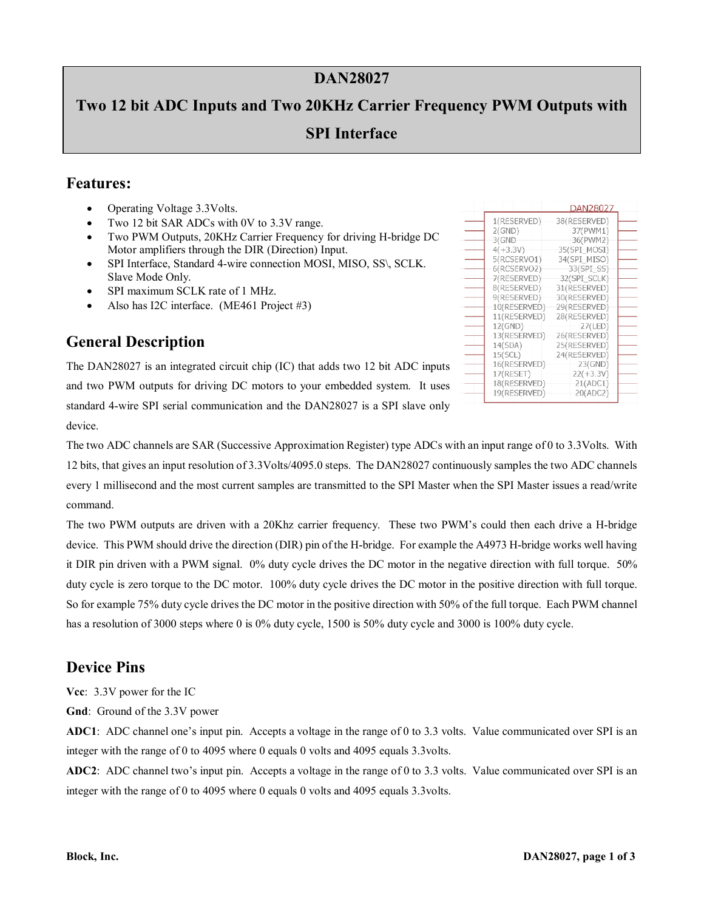#### **DAN28027**

# **Two 12 bit ADC Inputs and Two 20KHz Carrier Frequency PWM Outputs with SPI Interface**

#### **Features:**

- Operating Voltage 3.3Volts.
- Two 12 bit SAR ADCs with 0V to 3.3V range.
- Two PWM Outputs, 20KHz Carrier Frequency for driving H-bridge DC Motor amplifiers through the DIR (Direction) Input.
- SPI Interface, Standard 4-wire connection MOSI, MISO, SS\, SCLK. Slave Mode Only.
- SPI maximum SCLK rate of 1 MHz.
- Also has I2C interface. (ME461 Project #3)

| 1(RESERVED)  | 38(RESERVED) |  |
|--------------|--------------|--|
| 2(GND)       | 37(PWM1)     |  |
| 3(GND        | 36(PWM2)     |  |
| $4(+3.3V)$   | 35(SPI MOSI) |  |
| 5(RCSERVO1)  | 34(SPI MISO) |  |
| 6(RCSERVO2)  | 33(SPI_SS)   |  |
| 7(RESERVED)  | 32(SPI SCLK) |  |
| 8(RESERVED)  | 31(RESERVED) |  |
| 9(RESERVED)  | 30(RESERVED) |  |
| 10(RESERVED) | 29(RESERVED) |  |
| 11(RESERVED) | 28(RESERVED) |  |
| 12(GND)      | 27(LED)      |  |
| 13(RESERVED) | 26(RESERVED) |  |
| 14(SDA)      | 25(RESERVED) |  |
| 15(SCL)      | 24(RESERVED) |  |
|              |              |  |
| 16(RESERVED) | 23(GND)      |  |
| 17(RESET)    | $22(+3.3V)$  |  |
| 18(RESERVED) | 21(ADC1)     |  |
| 19(RESERVED) | 20(ADC2)     |  |

DAN28027

#### **General Description**

The DAN28027 is an integrated circuit chip (IC) that adds two 12 bit ADC inputs and two PWM outputs for driving DC motors to your embedded system. It uses standard 4-wire SPI serial communication and the DAN28027 is a SPI slave only device.

The two ADC channels are SAR (Successive Approximation Register) type ADCs with an input range of 0 to 3.3Volts. With 12 bits, that gives an input resolution of 3.3Volts/4095.0 steps. The DAN28027 continuously samples the two ADC channels every 1 millisecond and the most current samples are transmitted to the SPI Master when the SPI Master issues a read/write command.

The two PWM outputs are driven with a 20Khz carrier frequency. These two PWM's could then each drive a H-bridge device. This PWM should drive the direction (DIR) pin of the H-bridge. For example the A4973 H-bridge works well having it DIR pin driven with a PWM signal. 0% duty cycle drives the DC motor in the negative direction with full torque. 50% duty cycle is zero torque to the DC motor. 100% duty cycle drives the DC motor in the positive direction with full torque. So for example 75% duty cycle drives the DC motor in the positive direction with 50% of the full torque. Each PWM channel has a resolution of 3000 steps where 0 is 0% duty cycle, 1500 is 50% duty cycle and 3000 is 100% duty cycle.

## **Device Pins**

**Vcc**: 3.3V power for the IC

**Gnd**: Ground of the 3.3V power

**ADC1**: ADC channel one's input pin. Accepts a voltage in the range of 0 to 3.3 volts. Value communicated over SPI is an integer with the range of 0 to 4095 where 0 equals 0 volts and 4095 equals 3.3volts.

**ADC2**: ADC channel two's input pin. Accepts a voltage in the range of 0 to 3.3 volts. Value communicated over SPI is an integer with the range of 0 to 4095 where 0 equals 0 volts and 4095 equals 3.3volts.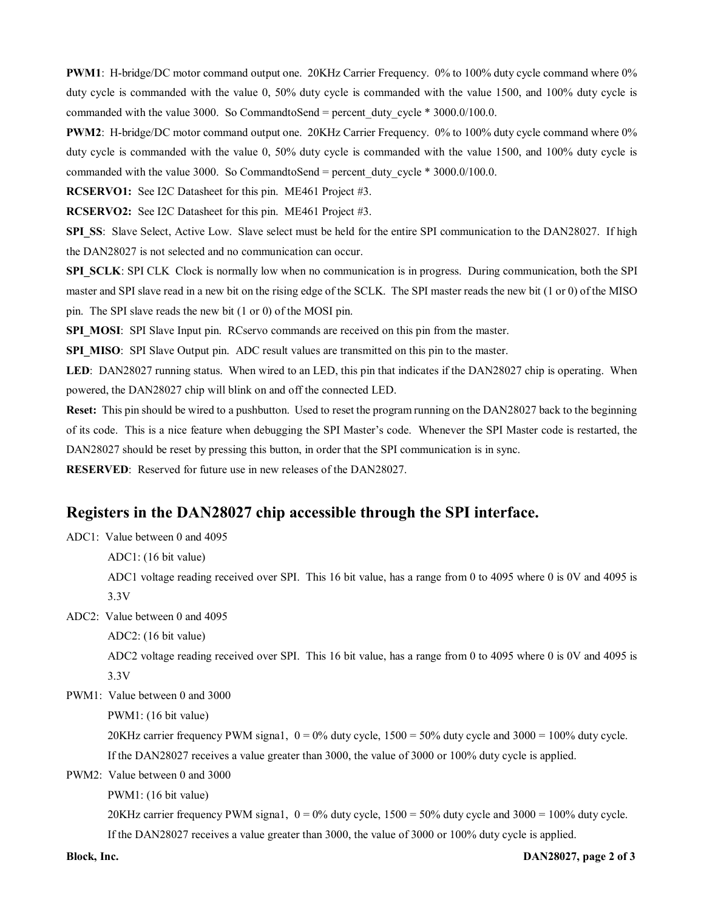**PWM1**: H-bridge/DC motor command output one. 20KHz Carrier Frequency. 0% to 100% duty cycle command where 0% duty cycle is commanded with the value 0, 50% duty cycle is commanded with the value 1500, and 100% duty cycle is commanded with the value 3000. So CommandtoSend = percent\_duty\_cycle  $*$  3000.0/100.0.

**PWM2**: H-bridge/DC motor command output one. 20KHz Carrier Frequency. 0% to 100% duty cycle command where 0% duty cycle is commanded with the value 0, 50% duty cycle is commanded with the value 1500, and 100% duty cycle is commanded with the value 3000. So CommandtoSend = percent\_duty\_cycle \*  $3000.0/100.0$ .

**RCSERVO1:** See I2C Datasheet for this pin. ME461 Project #3.

**RCSERVO2:** See I2C Datasheet for this pin. ME461 Project #3.

**SPI\_SS:** Slave Select, Active Low. Slave select must be held for the entire SPI communication to the DAN28027. If high the DAN28027 is not selected and no communication can occur.

**SPI\_SCLK**: SPI CLK Clock is normally low when no communication is in progress. During communication, both the SPI master and SPI slave read in a new bit on the rising edge of the SCLK. The SPI master reads the new bit (1 or 0) of the MISO pin. The SPI slave reads the new bit (1 or 0) of the MOSI pin.

**SPI\_MOSI:** SPI Slave Input pin. RCservo commands are received on this pin from the master.

SPI\_MISO: SPI Slave Output pin. ADC result values are transmitted on this pin to the master.

**LED**: DAN28027 running status. When wired to an LED, this pin that indicates if the DAN28027 chip is operating. When powered, the DAN28027 chip will blink on and off the connected LED.

**Reset:** This pin should be wired to a pushbutton. Used to reset the program running on the DAN28027 back to the beginning of its code. This is a nice feature when debugging the SPI Master's code. Whenever the SPI Master code is restarted, the DAN28027 should be reset by pressing this button, in order that the SPI communication is in sync.

**RESERVED**: Reserved for future use in new releases of the DAN28027.

#### **Registers in the DAN28027 chip accessible through the SPI interface.**

ADC1: Value between 0 and 4095

ADC1: (16 bit value)

ADC1 voltage reading received over SPI. This 16 bit value, has a range from 0 to 4095 where 0 is 0V and 4095 is 3.3V

ADC2: Value between 0 and 4095

ADC2: (16 bit value)

ADC2 voltage reading received over SPI. This 16 bit value, has a range from 0 to 4095 where 0 is 0V and 4095 is 3.3V

PWM1: Value between 0 and 3000

PWM1: (16 bit value)

20KHz carrier frequency PWM signa1,  $0 = 0\%$  duty cycle,  $1500 = 50\%$  duty cycle and  $3000 = 100\%$  duty cycle. If the DAN28027 receives a value greater than 3000, the value of 3000 or 100% duty cycle is applied.

PWM2: Value between 0 and 3000

PWM1: (16 bit value)

20KHz carrier frequency PWM signa1,  $0 = 0\%$  duty cycle,  $1500 = 50\%$  duty cycle and  $3000 = 100\%$  duty cycle. If the DAN28027 receives a value greater than 3000, the value of 3000 or 100% duty cycle is applied.

**Block, Inc. DAN28027, page 2 of 3**